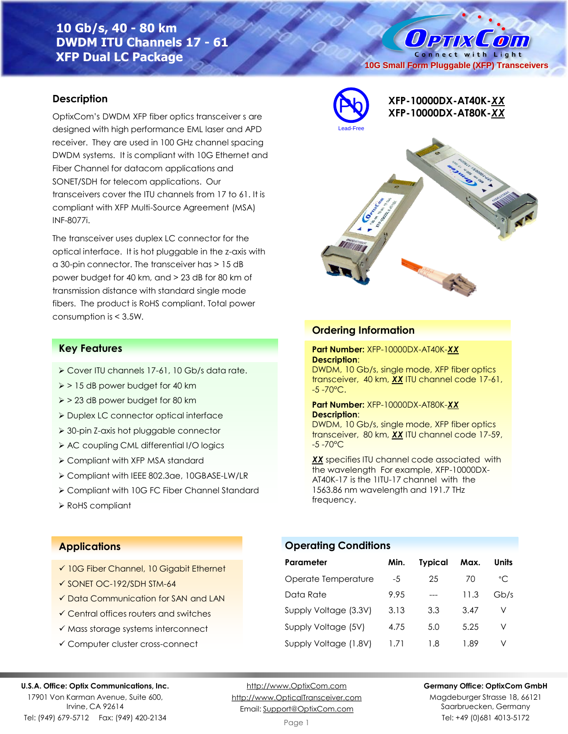# **10 Gb/s, 40 - 80 km DWDM ITU Channels 17 - 61 XFP Dual LC Package**

### **Description**

OptixCom's DWDM XFP fiber optics transceiver s are designed with high performance EML laser and APD receiver. They are used in 100 GHz channel spacing DWDM systems. It is compliant with 10G Ethernet and Fiber Channel for datacom applications and SONET/SDH for telecom applications. Our transceivers cover the ITU channels from 17 to 61. It is compliant with XFP Multi-Source Agreement (MSA) INF-8077i.

The transceiver uses duplex LC connector for the optical interface. It is hot pluggable in the z-axis with a 30-pin connector. The transceiver has > 15 dB power budget for 40 km, and > 23 dB for 80 km of transmission distance with standard single mode fibers. The product is RoHS compliant. Total power consumption is < 3.5W.

### **Key Features**

- ➢ Cover ITU channels 17-61, 10 Gb/s data rate.
- ➢ > 15 dB power budget for 40 km
- ➢ > 23 dB power budget for 80 km
- ➢ Duplex LC connector optical interface
- ➢ 30-pin Z-axis hot pluggable connector
- ➢ AC coupling CML differential I/O logics
- ➢ Compliant with XFP MSA standard
- ➢ Compliant with IEEE 802.3ae, 10GBASE-LW/LR
- ➢ Compliant with 10G FC Fiber Channel Standard
- ➢ RoHS compliant



**XFP-10000DX-AT40K-***XX* Pb **XFP-10000DX-AT80K-***XX*

**10G Small Form Pluggable (XFP) Transceivers**

O PTIX COLO Connect with Light



### **Ordering Information**

#### **Part Number:** XFP-10000DX-AT40K-*XX* **Description**:

DWDM, 10 Gb/s, single mode, XFP fiber optics transceiver, 40 km, *XX* ITU channel code 17-61,  $-5 - 70^{\circ}$ C.

#### **Part Number:** XFP-10000DX-AT80K-*XX* **Description**:

DWDM, 10 Gb/s, single mode, XFP fiber optics transceiver, 80 km, *XX* ITU channel code 17-59, -5 -70°C

*XX* specifies ITU channel code associated with the wavelength For example, XFP-10000DX-AT40K-17 is the 1ITU-17 channel with the 1563.86 nm wavelength and 191.7 THz frequency.

### **Applications**

- ✓ 10G Fiber Channel, 10 Gigabit Ethernet
- ✓ SONET OC-192/SDH STM-64
- ✓ Data Communication for SAN and LAN
- ✓ Central offices routers and switches
- ✓ Mass storage systems interconnect
- ✓ Computer cluster cross-connect

### **Operating Conditions**

| Parameter             | Min. | <b>Typical</b> | Max. | Units |
|-----------------------|------|----------------|------|-------|
| Operate Temperature   | -5   | 25             | 70   | °C.   |
| Data Rate             | 9.95 |                | 11.3 | Gb/s  |
| Supply Voltage (3.3V) | 3.13 | 3.3            | 3.47 | V     |
| Supply Voltage (5V)   | 4.75 | 5.0            | 5.25 | V     |
| Supply Voltage (1.8V) | 171  | 1.8            | 1.89 | V     |

#### **U.S.A. Office: Optix Communications, Inc.**

17901 Von Karman Avenue, Suite 600, Irvine, CA 92614 Tel: (949) 679-5712 Fax: (949) 420-2134

[http://www.OptixCom.com](http://www.optixcom.com/) [http://www.OpticalTransceiver.com](http://www.optoictech.com/) Email: [Support@OptixCom.com](mailto:Support@optoICtech.com)

#### **Germany Office: OptixCom GmbH**

Magdeburger Strasse 18, 66121 Saarbruecken, Germany Tel: +49 (0)681 4013-5172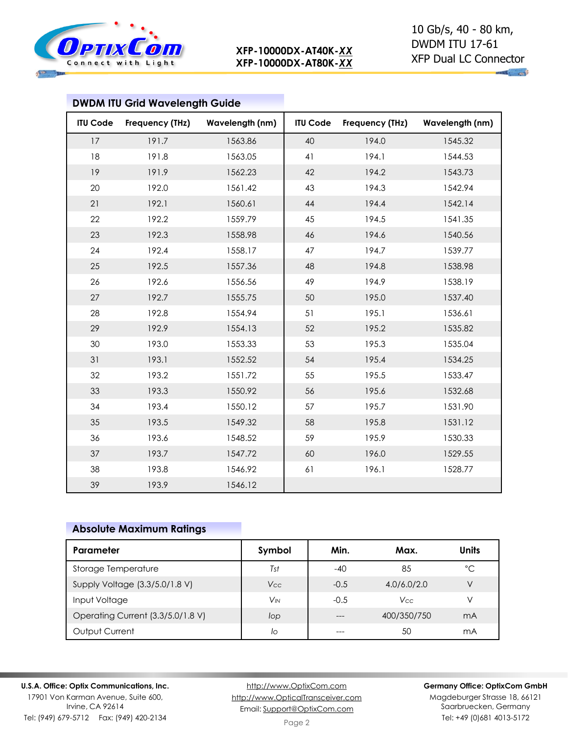

|                 | <b>DWDM ITU Grid Wavelength Guide</b> |                 |                 |                 |                 |
|-----------------|---------------------------------------|-----------------|-----------------|-----------------|-----------------|
| <b>ITU Code</b> | Frequency (THz)                       | Wavelength (nm) | <b>ITU Code</b> | Frequency (THz) | Wavelength (nm) |
| 17              | 191.7                                 | 1563.86         | 40              | 194.0           | 1545.32         |
| 18              | 191.8                                 | 1563.05         | 41              | 194.1           | 1544.53         |
| 19              | 191.9                                 | 1562.23         | 42              | 194.2           | 1543.73         |
| 20              | 192.0                                 | 1561.42         | 43              | 194.3           | 1542.94         |
| 21              | 192.1                                 | 1560.61         | 44              | 194.4           | 1542.14         |
| 22              | 192.2                                 | 1559.79         | 45              | 194.5           | 1541.35         |
| 23              | 192.3                                 | 1558.98         | 46              | 194.6           | 1540.56         |
| 24              | 192.4                                 | 1558.17         | 47              | 194.7           | 1539.77         |
| 25              | 192.5                                 | 1557.36         | 48              | 194.8           | 1538.98         |
| 26              | 192.6                                 | 1556.56         | 49              | 194.9           | 1538.19         |
| 27              | 192.7                                 | 1555.75         | 50              | 195.0           | 1537.40         |
| 28              | 192.8                                 | 1554.94         | 51              | 195.1           | 1536.61         |
| 29              | 192.9                                 | 1554.13         | 52              | 195.2           | 1535.82         |
| 30              | 193.0                                 | 1553.33         | 53              | 195.3           | 1535.04         |
| 31              | 193.1                                 | 1552.52         | 54              | 195.4           | 1534.25         |
| 32              | 193.2                                 | 1551.72         | 55              | 195.5           | 1533.47         |
| 33              | 193.3                                 | 1550.92         | 56              | 195.6           | 1532.68         |
| 34              | 193.4                                 | 1550.12         | 57              | 195.7           | 1531.90         |
| 35              | 193.5                                 | 1549.32         | 58              | 195.8           | 1531.12         |
| 36              | 193.6                                 | 1548.52         | 59              | 195.9           | 1530.33         |
| 37              | 193.7                                 | 1547.72         | 60              | 196.0           | 1529.55         |
| 38              | 193.8                                 | 1546.92         | 61              | 196.1           | 1528.77         |
| 39              | 193.9                                 | 1546.12         |                 |                 |                 |

### **Absolute Maximum Ratings**

| Parameter                         | Symbol          | Min.   | Max.        | <b>Units</b> |
|-----------------------------------|-----------------|--------|-------------|--------------|
| Storage Temperature               | Tst             | $-40$  | 85          | °C           |
| Supply Voltage (3.3/5.0/1.8 V)    | Vcc             | $-0.5$ | 4.0/6.0/2.0 | V            |
| Input Voltage                     | V <sub>IN</sub> | $-0.5$ | Vcc         | V            |
| Operating Current (3.3/5.0/1.8 V) | lop             |        | 400/350/750 | mA           |
| Output Current                    | lo              |        | 50          | mA           |

**U.S.A. Office: Optix Communications, Inc.**

17901 Von Karman Avenue, Suite 600, Irvine, CA 92614 Tel: (949) 679-5712 Fax: (949) 420-2134

[http://www.OptixCom.com](http://www.optixcom.com/) [http://www.OpticalTransceiver.com](http://www.optoictech.com/) Email: [Support@OptixCom.com](mailto:Support@optoICtech.com)

### **Germany Office: OptixCom GmbH**

Magdeburger Strasse 18, 66121 Saarbruecken, Germany Tel: +49 (0)681 4013-5172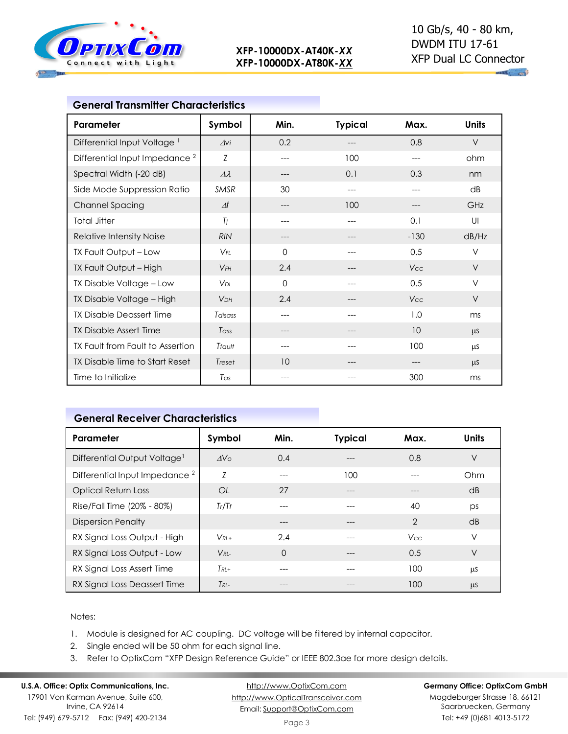

 $-4$ 

| <b>General Transmitter Characteristics</b> |                       |             |                |        |              |
|--------------------------------------------|-----------------------|-------------|----------------|--------|--------------|
| Parameter                                  | Symbol                | Min.        | <b>Typical</b> | Max.   | <b>Units</b> |
| Differential Input Voltage <sup>1</sup>    | $\Delta$ Vi           | 0.2         | $---$          | 0.8    | $\vee$       |
| Differential Input Impedance <sup>2</sup>  | Z                     | $---$       | 100            | ---    | ohm          |
| Spectral Width (-20 dB)                    | $\varDelta\lambda$    | $---$       | 0.1            | 0.3    | nm           |
| Side Mode Suppression Ratio                | SMSR                  | 30          | $---$          | ---    | dB           |
| <b>Channel Spacing</b>                     | $\varDelta f$         | $---$       | 100            |        | GHz          |
| <b>Total Jitter</b>                        | Tj                    | $---$       | $---$          | 0.1    | UI           |
| <b>Relative Intensity Noise</b>            | <b>RIN</b>            | ---         |                | $-130$ | dB/Hz        |
| TX Fault Output - Low                      | $V_{FI}$              | $\Omega$    | $---$          | 0.5    | V            |
| TX Fault Output - High                     | $V$ FH                | 2.4         | ---            | Vcc    | V            |
| TX Disable Voltage - Low                   | <b>V<sub>DL</sub></b> | $\mathbf 0$ |                | 0.5    | V            |
| TX Disable Voltage - High                  | <b>V<sub>DH</sub></b> | 2.4         | ---            | Vcc    | V            |
| <b>TX Disable Deassert Time</b>            | Tdisass               | $---$       | $---$          | 1.0    | ms           |
| <b>TX Disable Assert Time</b>              | Tass                  | ---         |                | 10     | $\mu$ S      |
| TX Fault from Fault to Assertion           | Tfault                | ---         | ---            | 100    | μS           |
| TX Disable Time to Start Reset             | Treset                | 10          | $---$          | ---    | $\mu$ S      |
| Time to Initialize                         | Tas                   | $---$       | $---$          | 300    | ms           |

### **General Receiver Characteristics**

| Parameter                                 | Symbol          | Min.     | <b>Typical</b> | Max.           | <b>Units</b> |
|-------------------------------------------|-----------------|----------|----------------|----------------|--------------|
| Differential Output Voltage <sup>1</sup>  | AV <sub>O</sub> | 0.4      |                | 0.8            | $\vee$       |
| Differential Input Impedance <sup>2</sup> | Z               | $---$    | 100            |                | Ohm          |
| <b>Optical Return Loss</b>                | 0L              | 27       |                |                | dB           |
| Rise/Fall Time (20% - 80%)                | Tr/Tr           |          | ---            | 40             | ps           |
| <b>Dispersion Penalty</b>                 |                 |          | $---$          | $\overline{2}$ | dB           |
| RX Signal Loss Output - High              | $V_{RI+}$       | 2.4      |                | <b>Vcc</b>     | V            |
| RX Signal Loss Output - Low               | $V_{RI}$        | $\Omega$ | $---$          | 0.5            | $\vee$       |
| RX Signal Loss Assert Time                | $T_{RI}$ +      |          |                | 100            | μS           |
| RX Signal Loss Deassert Time              | $T_{RL}$        |          | ---            | 100            | μS           |

### Notes:

- 1. Module is designed for AC coupling. DC voltage will be filtered by internal capacitor.
- 2. Single ended will be 50 ohm for each signal line.
- 3. Refer to OptixCom "XFP Design Reference Guide" or IEEE 802.3ae for more design details.

#### **U.S.A. Office: Optix Communications, Inc.** 17901 Von Karman Avenue, Suite 600, Irvine, CA 92614 Tel: (949) 679-5712 Fax: (949) 420-2134

[http://www.OptixCom.com](http://www.optixcom.com/) [http://www.OpticalTransceiver.com](http://www.optoictech.com/) Email: [Support@OptixCom.com](mailto:Support@optoICtech.com)

#### **Germany Office: OptixCom GmbH**

Magdeburger Strasse 18, 66121 Saarbruecken, Germany Tel: +49 (0)681 4013-5172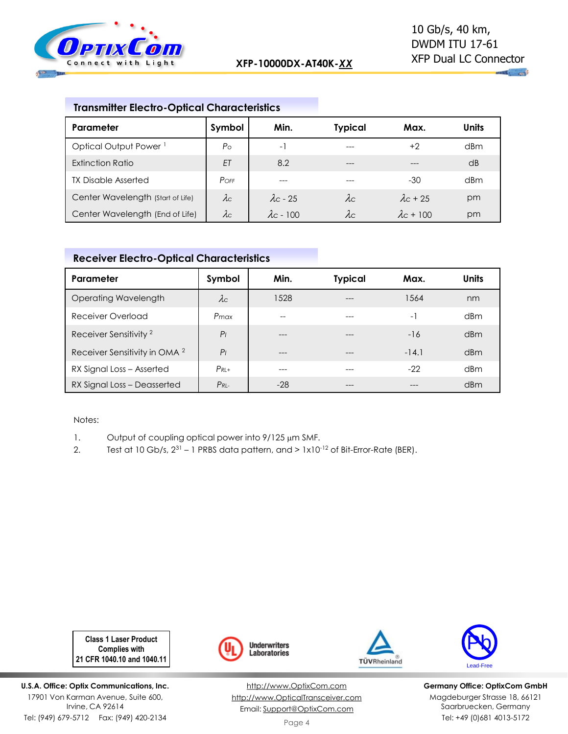

## **Transmitter Electro-Optical Characteristics**

| Parameter                         | Symbol      | Min.              | <b>Typical</b> | Max.              | Units           |
|-----------------------------------|-------------|-------------------|----------------|-------------------|-----------------|
| Optical Output Power <sup>1</sup> | $P_{\rm O}$ | $-1$              |                | $+2$              | d <sub>Bm</sub> |
| Extinction Ratio                  | ET          | 8.2               | $---$          | ---               | dB              |
| <b>TX Disable Asserted</b>        | $P$ OFF     | $- - -$           |                | $-30$             | dBm             |
| Center Wavelength (Start of Life) | $\lambda c$ | $\lambda$ c - 25  | $\lambda c$    | $\lambda$ c + 25  | pm              |
| Center Wavelength (End of Life)   | $\lambda c$ | $\lambda$ c - 100 | $\lambda c$    | $\lambda$ c + 100 | pm              |

# **Receiver Electro-Optical Characteristics**

| Parameter                                | Symbol         | Min.  | <b>Typical</b> | Max.    | <b>Units</b>    |
|------------------------------------------|----------------|-------|----------------|---------|-----------------|
| Operating Wavelength                     | $\lambda c$    | 1528  | $---$          | 1564    | nm              |
| Receiver Overload                        | Pmax           | --    |                | $-1$    | d <sub>Bm</sub> |
| Receiver Sensitivity <sup>2</sup>        | P <sub>1</sub> |       |                | $-16$   | dBm             |
| Receiver Sensitivity in OMA <sup>2</sup> | P <sub>1</sub> | ---   | ---            | $-14.1$ | dBm             |
| RX Signal Loss - Asserted                | $P_{RI}$ +     |       |                | $-22$   | d <sub>Bm</sub> |
| RX Signal Loss - Deasserted              | $P_{RL}$       | $-28$ | ---            |         | dBm             |

Notes:

- 1. Output of coupling optical power into  $9/125 \mu m$  SMF.
- 2. Test at 10 Gb/s,  $2^{31}$  1 PRBS data pattern, and  $> 1 \times 10^{-12}$  of Bit-Error-Rate (BER).

**Class 1 Laser Product Complies with 21 CFR 1040.10 and 1040.11**

**U.S.A. Office: Optix Communications, Inc.** 17901 Von Karman Avenue, Suite 600, Irvine, CA 92614 Tel: (949) 679-5712 Fax: (949) 420-2134



[http://www.OptixCom.com](http://www.optixcom.com/) [http://www.OpticalTransceiver.com](http://www.optoictech.com/) Email: [Support@OptixCom.com](mailto:Support@optoICtech.com)





**Germany Office: OptixCom GmbH** Magdeburger Strasse 18, 66121 Saarbruecken, Germany Tel: +49 (0)681 4013-5172